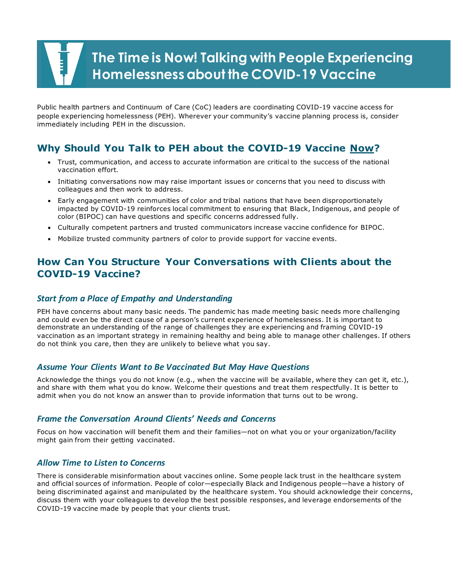Public health partners and Continuum of Care (CoC) leaders are coordinating COVID-19 vaccine access for people experiencing homelessness (PEH). Wherever your community's vaccine planning process is, consider immediately including PEH in the discussion.

# **Why Should You Talk to PEH about the COVID-19 Vaccine Now?**

- Trust, communication, and access to accurate information are critical to the success of the national vaccination effort.
- • Initiating conversations now may raise important issues or concerns that you need to discuss with colleagues and then work to address.
- • Early engagement with communities of color and tribal nations that have been disproportionately impacted by COVID-19 reinforces local commitment to ensuring that Black, Indigenous, and people of color (BIPOC) can have questions and specific concerns addressed fully.
- Culturally competent partners and trusted communicators increase vaccine confidence for BIPOC.
- Mobilize trusted community partners of color to provide support for vaccine events.

# **How Can You Structure Your Conversations with Clients about the COVID-19 Vaccine?**

# *Start from a Place of Empathy and Understanding*

 PEH have concerns about many basic needs. The pandemic has made meeting basic needs more challenging and could even be the direct cause of a person's current experience of homelessness. It is important to demonstrate an understanding of the range of challenges they are experiencing and framing COVID-19 vaccination as an important strategy in remaining healthy and being able to manage other challenges. If others do not think you care, then they are unlikely to believe what you say.

# *Assume Your Clients Want to Be Vaccinated But May Have Questions*

 Acknowledge the things you do not know (e.g., when the vaccine will be available, where they can get it, etc.), and share with them what you do know. Welcome their questions and treat them respectfully. It is better to admit when you do not know an answer than to provide information that turns out to be wrong.

#### *Frame the Conversation Around Clients' Needs and Concerns*

Focus on how vaccination will benefit them and their families—not on what you or your organization/facility might gain from their getting vaccinated.

# *Allow Time to Listen to Concerns*

 There is considerable misinformation about vaccines online. Some people lack trust in the healthcare system and official sources of information. People of color—especially Black and Indigenous people—have a history of discuss them with your colleagues to develop the best possible responses, and leverage endorsements of the COVID-19 vaccine made by people that your clients trust. being discriminated against and manipulated by the healthcare system. You should acknowledge their concerns,